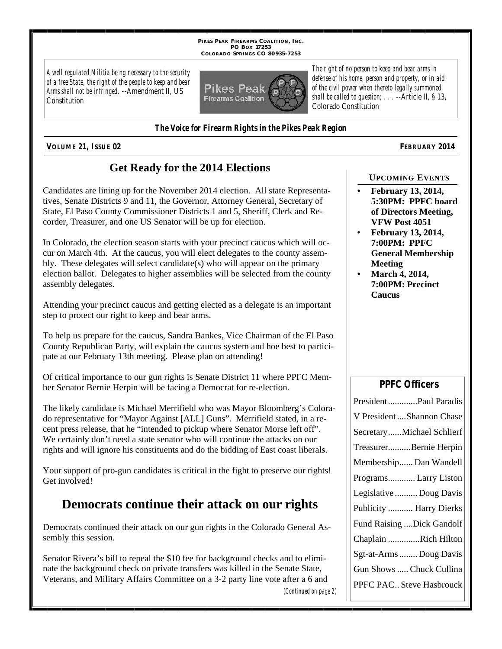**PIKES PEAK FIREARMS COALITION, INC. PO BOX 17253 COLORADO SPRINGS CO 80935-7253**

*A well regulated Militia being necessary to the security of a free State, the right of the people to keep and bear Arms shall not be infringed.* --Amendment II, US **Constitution** 



*defense of his home, person and property, or in aid of the civil power when thereto legally summoned, shall be called to question; . . .* --Article II, § 13, Colorado Constitution

*The right of no person to keep and bear arms in* 

*The Voice for Firearm Rights in the Pikes Peak Region*

**VOLUME 21, ISSUE 02 FEBRUARY 2014**

## **Get Ready for the 2014 Elections**

Candidates are lining up for the November 2014 election. All state Representatives, Senate Districts 9 and 11, the Governor, Attorney General, Secretary of State, El Paso County Commissioner Districts 1 and 5, Sheriff, Clerk and Recorder, Treasurer, and one US Senator will be up for election.

In Colorado, the election season starts with your precinct caucus which will occur on March 4th. At the caucus, you will elect delegates to the county assembly. These delegates will select candidate(s) who will appear on the primary election ballot. Delegates to higher assemblies will be selected from the county assembly delegates.

Attending your precinct caucus and getting elected as a delegate is an important step to protect our right to keep and bear arms.

To help us prepare for the caucus, Sandra Bankes, Vice Chairman of the El Paso County Republican Party, will explain the caucus system and hoe best to participate at our February 13th meeting. Please plan on attending!

Of critical importance to our gun rights is Senate District 11 where PPFC Member Senator Bernie Herpin will be facing a Democrat for re-election.

The likely candidate is Michael Merrifield who was Mayor Bloomberg's Colorado representative for "Mayor Against [ALL] Guns". Merrifield stated, in a recent press release, that he "intended to pickup where Senator Morse left off". We certainly don't need a state senator who will continue the attacks on our rights and will ignore his constituents and do the bidding of East coast liberals.

Your support of pro-gun candidates is critical in the fight to preserve our rights! Get involved!

# **Democrats continue their attack on our rights**

Democrats continued their attack on our gun rights in the Colorado General Assembly this session.

Senator Rivera's bill to repeal the \$10 fee for background checks and to eliminate the background check on private transfers was killed in the Senate State, Veterans, and Military Affairs Committee on a 3-2 party line vote after a 6 and

*(Continued on page 2)*

• **February 13, 2014, 5:30PM: PPFC board of Directors Meeting, VFW Post 4051**

**UPCOMING EVENTS**

- **February 13, 2014, 7:00PM: PPFC General Membership Meeting**
- **March 4, 2014, 7:00PM: Precinct Caucus**

### **PPFC Officers**

| PresidentPaul Paradis      |  |  |
|----------------------------|--|--|
| V President  Shannon Chase |  |  |
| SecretaryMichael Schlierf  |  |  |
| TreasurerBernie Herpin     |  |  |
| Membership Dan Wandell     |  |  |
| Programs Larry Liston      |  |  |
| Legislative  Doug Davis    |  |  |
| Publicity  Harry Dierks    |  |  |
| Fund Raising Dick Gandolf  |  |  |
| Chaplain Rich Hilton       |  |  |
| Sgt-at-Arms  Doug Davis    |  |  |
| Gun Shows  Chuck Cullina   |  |  |
| PPFC PAC Steve Hasbrouck   |  |  |
|                            |  |  |